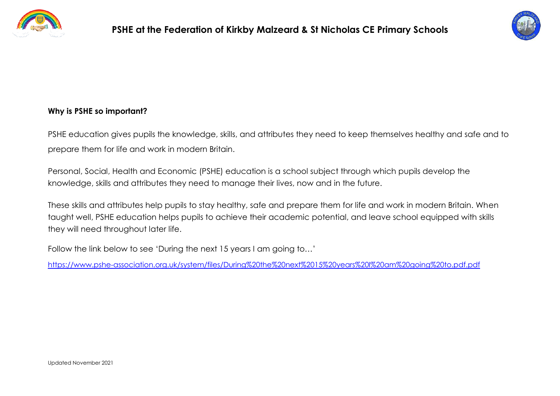



#### **Why is PSHE so important?**

PSHE education gives pupils the knowledge, skills, and attributes they need to keep themselves healthy and safe and to prepare them for life and work in modern Britain.

Personal, Social, Health and Economic (PSHE) education is a school subject through which pupils develop the knowledge, skills and attributes they need to manage their lives, now and in the future.

These skills and attributes help pupils to stay healthy, safe and prepare them for life and work in modern Britain. When taught well, PSHE education helps pupils to achieve their academic potential, and leave school equipped with skills they will need throughout later life.

Follow the link below to see 'During the next 15 years I am going to…'

<https://www.pshe-association.org.uk/system/files/During%20the%20next%2015%20years%20I%20am%20going%20to.pdf.pdf>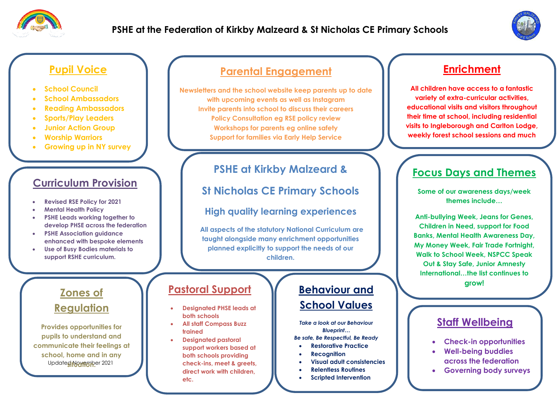



#### **Pupil Voice**

- **School Council**
- **School Ambassadors**
- **Reading Ambassadors**
- **Sports/Play Leaders**
- **Junior Action Group**
- **Worship Warriors**
- **Growing up in NY survey**

# **Curriculum Provision**

- **Revised RSE Policy for 2021**
- **Mental Health Policy**
- **PSHE Leads working together to develop PHSE across the federation**
- **PSHE Association guidance enhanced with bespoke elements**
- **Use of Busy Bodies materials to support RSHE curriculum.**

# **Zones of Regulation**

Update**g Novrapp**er 2021 **Provides opportunities for pupils to understand and communicate their feelings at school, home and in any** 

## **Parental Engagement**

**Newsletters and the school website keep parents up to date with upcoming events as well as Instagram Invite parents into school to discuss their careers Policy Consultation eg RSE policy review Workshops for parents eg online safety Support for families via Early Help Service**

# **PSHE at Kirkby Malzeard &**

**St Nicholas CE Primary Schools** 

### **High quality learning experiences**

**All aspects of the statutory National Curriculum are taught alongside many enrichment opportunities planned explicitly to support the needs of our children.**

#### **Pastoral Support**

- **Designated PHSE leads at both schools**
- **All staff Compass Buzz trained**
- **Designated pastoral support workers based at both schools providing check-ins, meet & greets, direct work with children, etc.**

### **Behaviour and School Values**

*Take a look at our Behaviour Blueprint…*

*Be safe, Be Respectful, Be Ready*

- **Restorative Practice**
- **Recognition**
- **Visual adult consistencies**
- **Relentless Routines**
- **Scripted Intervention**

# **Enrichment**

**All children have access to a fantastic variety of extra-curricular activities, educational visits and visitors throughout their time at school, including residential visits to Ingleborough and Carlton Lodge, weekly forest school sessions and much** 

**more.**

# **Focus Days and Themes**

**Some of our awareness days/week themes include…**

**Anti-bullying Week, Jeans for Genes, Children in Need, support for Food Banks, Mental Health Awareness Day, My Money Week, Fair Trade Fortnight, Walk to School Week, NSPCC Speak Out & Stay Safe, Junior Amnesty International…the list continues to grow!**

## **Staff Wellbeing**

- **Check-in opportunities**
- **Well-being buddies across the federation**
- **Governing body surveys**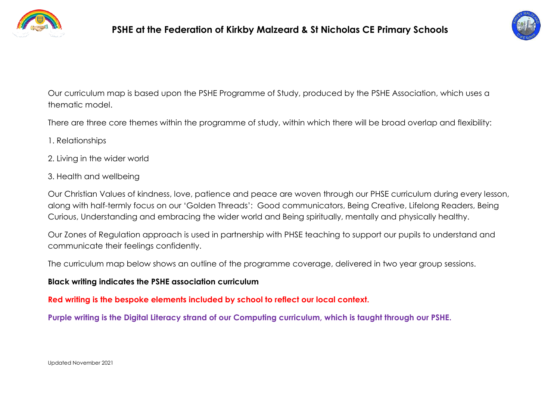



Our curriculum map is based upon the PSHE Programme of Study, produced by the PSHE Association, which uses a thematic model.

There are three core themes within the programme of study, within which there will be broad overlap and flexibility:

- 1. Relationships
- 2. Living in the wider world
- 3. Health and wellbeing

Our Christian Values of kindness, love, patience and peace are woven through our PHSE curriculum during every lesson, along with half-termly focus on our 'Golden Threads': Good communicators, Being Creative, Lifelong Readers, Being Curious, Understanding and embracing the wider world and Being spiritually, mentally and physically healthy.

Our Zones of Regulation approach is used in partnership with PHSE teaching to support our pupils to understand and communicate their feelings confidently.

The curriculum map below shows an outline of the programme coverage, delivered in two year group sessions.

#### **Black writing indicates the PSHE association curriculum**

**Red writing is the bespoke elements included by school to reflect our local context.**

**Purple writing is the Digital Literacy strand of our Computing curriculum, which is taught through our PSHE.**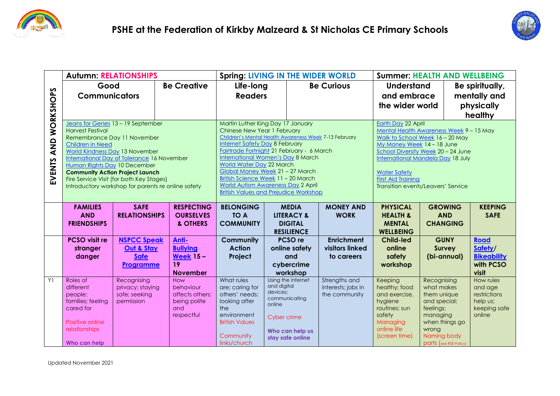



|                       | <b>Autumn: RELATIONSHIPS</b>                                                       |                                                                                       |                                 | <b>Spring: LIVING IN THE WIDER WORLD</b>                                                       |                         |                                           |                                        | <b>Summer: HEALTH AND WELLBEING</b>                                                                          |                             |              |                          |
|-----------------------|------------------------------------------------------------------------------------|---------------------------------------------------------------------------------------|---------------------------------|------------------------------------------------------------------------------------------------|-------------------------|-------------------------------------------|----------------------------------------|--------------------------------------------------------------------------------------------------------------|-----------------------------|--------------|--------------------------|
|                       | Good                                                                               |                                                                                       | <b>Be Creative</b>              |                                                                                                | Life-long               |                                           | <b>Be Curious</b><br><b>Understand</b> |                                                                                                              |                             |              | Be spiritually,          |
| AND WORKSHOPS         | <b>Communicators</b>                                                               |                                                                                       |                                 | <b>Readers</b>                                                                                 |                         |                                           |                                        | and embrace                                                                                                  |                             | mentally and |                          |
|                       |                                                                                    |                                                                                       |                                 |                                                                                                |                         |                                           |                                        | the wider world                                                                                              |                             |              | physically               |
|                       |                                                                                    |                                                                                       |                                 |                                                                                                |                         |                                           |                                        | healthy                                                                                                      |                             |              |                          |
|                       | Jeans for Genes 13 - 19 September<br><b>Harvest Festival</b>                       |                                                                                       |                                 | Martin Luther King Day 17 January<br>Chinese New Year 1 February                               |                         |                                           |                                        | <b>Earth Day 22 April</b><br>Mental Health Awareness Week 9 - 15 May                                         |                             |              |                          |
|                       | Remembrance Day 11 November<br>Children in Need<br>World Kindness Day 13 November  |                                                                                       |                                 | Children's Mental Health Awareness Week 7-13 February<br><b>Internet Safety Day 8 February</b> |                         |                                           |                                        | Walk to School Week 16 - 20 May                                                                              |                             |              |                          |
|                       |                                                                                    |                                                                                       |                                 |                                                                                                |                         |                                           |                                        | My Money Week 14 - 18 June<br>School Diversity Week 20 - 24 June<br><b>International Mandela Day 18 July</b> |                             |              |                          |
|                       | International Day of Tolerance 16 November                                         | Fairtrade Fortnight 21 February - 6 March<br><b>International Women's Day 8 March</b> |                                 |                                                                                                |                         |                                           |                                        |                                                                                                              |                             |              |                          |
|                       | Human Rights Day 10 December                                                       | <b>World Water Day 22 March</b>                                                       |                                 |                                                                                                |                         |                                           |                                        |                                                                                                              |                             |              |                          |
| <b>EVENTS</b>         | <b>Community Action Project Launch</b><br>Fire Service Visit (for both Key Stages) |                                                                                       |                                 | Global Money Week 21 - 27 March<br>British Science Week 11 - 20 March                          |                         |                                           |                                        | <b>Water Safety</b><br><b>First Aid Training</b>                                                             |                             |              |                          |
|                       | Introductory workshop for parents re online safety                                 | <b>World Autism Awareness Day 2 April</b>                                             |                                 |                                                                                                |                         | <b>Transition events/Leavers' Service</b> |                                        |                                                                                                              |                             |              |                          |
|                       |                                                                                    | <b>British Values and Prejudice Workshop</b>                                          |                                 |                                                                                                |                         |                                           |                                        |                                                                                                              |                             |              |                          |
|                       | <b>FAMILIES</b>                                                                    | <b>SAFE</b>                                                                           | <b>RESPECTING</b>               | <b>BELONGING</b>                                                                               |                         | <b>MEDIA</b>                              | <b>MONEY AND</b>                       | <b>PHYSICAL</b>                                                                                              | <b>GROWING</b>              |              | <b>KEEPING</b>           |
|                       | <b>AND</b>                                                                         | <b>RELATIONSHIPS</b>                                                                  | <b>OURSELVES</b>                | <b>TO A</b>                                                                                    |                         | <b>LITERACY &amp;</b>                     | <b>WORK</b>                            | <b>HEALTH &amp;</b>                                                                                          | <b>AND</b>                  |              | <b>SAFE</b>              |
|                       | <b>FRIENDSHIPS</b>                                                                 |                                                                                       | & OTHERS                        | <b>COMMUNITY</b>                                                                               |                         | <b>DIGITAL</b><br><b>RESILIENCE</b>       |                                        | <b>MENTAL</b><br><b>WELLBEING</b>                                                                            | <b>CHANGING</b>             |              |                          |
|                       | <b>PCSO visit re</b>                                                               | <b>NSPCC Speak</b>                                                                    | Anti-                           | Community                                                                                      |                         | PCSO <sub>re</sub>                        | <b>Enrichment</b>                      | <b>Child-led</b>                                                                                             | <b>GUNY</b>                 |              | <b>Road</b>              |
|                       | stranger                                                                           | Out & Stay                                                                            | <b>Bullying</b>                 | <b>Action</b>                                                                                  |                         | online safety                             | visitors linked                        | online                                                                                                       | <b>Survey</b>               |              | Safety/                  |
|                       | danger                                                                             | <b>Safe</b>                                                                           | <b>Week 15-</b>                 | Project                                                                                        |                         | and                                       | to careers                             | safety                                                                                                       | (bi-annual)                 |              | <b>Bikeability</b>       |
|                       |                                                                                    | Programme                                                                             | 19                              |                                                                                                |                         | cybercrime                                |                                        | workshop                                                                                                     |                             |              | with PCSO<br>visit       |
| Y1                    | Roles of                                                                           | Recognising                                                                           | <b>November</b><br>How          | What rules                                                                                     |                         | workshop<br>Using the internet            | Strengths and                          | Keeping                                                                                                      | Recognising                 |              | How rules                |
|                       | different                                                                          | privacy; staying                                                                      | behaviour                       | are; caring for                                                                                | and digital<br>devices; |                                           | interests; jobs in                     | healthy; food                                                                                                | what makes                  |              | and age                  |
|                       | people;<br>families; feeling                                                       | safe; seeking<br>permission                                                           | affects others;<br>being polite | others' needs;<br>looking after                                                                |                         | communicating                             | the community                          | and exercise,<br>hygiene                                                                                     | them unique<br>and special; |              | restrictions<br>help us; |
|                       | cared for                                                                          |                                                                                       | and                             | the                                                                                            | online                  |                                           |                                        | routines; sun                                                                                                | feelings;                   |              | keeping safe             |
|                       | Positive online                                                                    |                                                                                       | respectful                      | environment<br><b>British Values</b>                                                           | Cyber crime             |                                           |                                        | safety                                                                                                       | managing<br>when things go  |              | online                   |
|                       | relationships                                                                      |                                                                                       |                                 |                                                                                                |                         | Who can help us                           |                                        | Managing<br>online life                                                                                      | wrong                       |              |                          |
|                       |                                                                                    |                                                                                       |                                 | Community                                                                                      |                         | stay safe online                          |                                        | (screen time)                                                                                                | Naming body                 |              |                          |
|                       | Who can help                                                                       |                                                                                       |                                 | links/church                                                                                   |                         |                                           |                                        |                                                                                                              | parts (see RSE Policy)      |              |                          |
|                       |                                                                                    |                                                                                       |                                 |                                                                                                |                         |                                           |                                        |                                                                                                              |                             |              |                          |
| Updated November 2021 |                                                                                    |                                                                                       |                                 |                                                                                                |                         |                                           |                                        |                                                                                                              |                             |              |                          |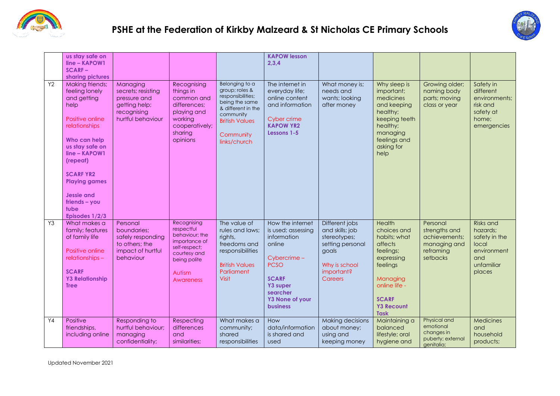



|                | us stay safe on<br>line - KAPOW1<br><b>SCARF-</b><br>sharing pictures                                                                                                                                                                                                      |                                                                                                     |                                                                                                                                             |                                                                                                                                                                  | <b>KAPOW lesson</b><br>2,3,4                                                                                                                                                        |                                                                                                                          |                                                                                                                                                                          |                                                                                     |                                                                                                      |
|----------------|----------------------------------------------------------------------------------------------------------------------------------------------------------------------------------------------------------------------------------------------------------------------------|-----------------------------------------------------------------------------------------------------|---------------------------------------------------------------------------------------------------------------------------------------------|------------------------------------------------------------------------------------------------------------------------------------------------------------------|-------------------------------------------------------------------------------------------------------------------------------------------------------------------------------------|--------------------------------------------------------------------------------------------------------------------------|--------------------------------------------------------------------------------------------------------------------------------------------------------------------------|-------------------------------------------------------------------------------------|------------------------------------------------------------------------------------------------------|
| <b>Y2</b>      | Making friends;<br>feeling lonely<br>and getting<br>help<br>Positive online<br>relationships<br>Who can help<br>us stay safe on<br>line - KAPOW1<br>(repeat)<br><b>SCARF YR2</b><br><b>Playing games</b><br><b>Jessie and</b><br>$friends - you$<br>tube<br>Episodes 1/2/3 | Managing<br>secrets; resisting<br>pressure and<br>getting help;<br>recognising<br>hurtful behaviour | Recognising<br>things in<br>common and<br>differences:<br>playing and<br>working<br>cooperatively;<br>sharing<br>opinions                   | Belonging to a<br>group; roles &<br>responsibilities;<br>being the same<br>& different in the<br>community<br><b>British Values</b><br>Community<br>links/church | The internet in<br>everyday life;<br>online content<br>and information<br>Cyber crime<br><b>KAPOW YR2</b><br>Lessons 1-5                                                            | What money is;<br>needs and<br>wants; looking<br>after money                                                             | Why sleep is<br>important;<br>medicines<br>and keeping<br>healthy;<br>keeping teeth<br>healthy;<br>managing<br>feelings and<br>asking for<br>help                        | Growing older;<br>naming body<br>parts; moving<br>class or year                     | Safety in<br>different<br>environments;<br>risk and<br>safety at<br>home;<br>emergencies             |
| Y3             | What makes a<br>family; features<br>of family life<br>Positive online<br>relationships -<br><b>SCARF</b><br><b>Y3 Relationship</b><br><b>Tree</b>                                                                                                                          | Personal<br>boundaries;<br>safely responding<br>to others; the<br>impact of hurtful<br>behaviour    | Recognising<br>respectful<br>behaviour; the<br>importance of<br>self-respect;<br>courtesy and<br>being polite<br>Autism<br><b>Awareness</b> | The value of<br>rules and laws;<br>rights,<br>freedoms and<br>responsibilities<br><b>British Values</b><br>Parliament<br><b>Visit</b>                            | How the internet<br>is used; assessing<br>information<br>online<br>Cybercrime -<br><b>PCSO</b><br><b>SCARF</b><br>Y3 super<br>searcher<br><b>Y3 None of your</b><br><b>business</b> | Different jobs<br>and skills; job<br>stereotypes;<br>setting personal<br>goals<br>Why is school<br>important?<br>Careers | Health<br>choices and<br>habits; what<br>affects<br>feelings;<br>expressing<br>feelings<br>Managing<br>online life -<br><b>SCARF</b><br><b>Y3 Recount</b><br><b>Task</b> | Personal<br>strengths and<br>achievements;<br>managing and<br>reframing<br>setbacks | <b>Risks and</b><br>hazards;<br>safety in the<br>local<br>environment<br>and<br>unfamiliar<br>places |
| Y <sub>4</sub> | Positive<br>friendships,<br>including online                                                                                                                                                                                                                               | Responding to<br>hurtful behaviour;<br>managing<br>confidentiality;                                 | Respecting<br>differences<br>and<br>similarities;                                                                                           | What makes a<br>community;<br>shared<br>responsibilities                                                                                                         | How<br>data/information<br>is shared and<br>used                                                                                                                                    | Making decisions<br>about money;<br>using and<br>keeping money                                                           | Maintaining a<br>balanced<br>lifestyle; oral<br>hygiene and                                                                                                              | Physical and<br>emotional<br>changes in<br>puberty; external<br>genitalia;          | Medicines<br>and<br>household<br>products;                                                           |

Updated November 2021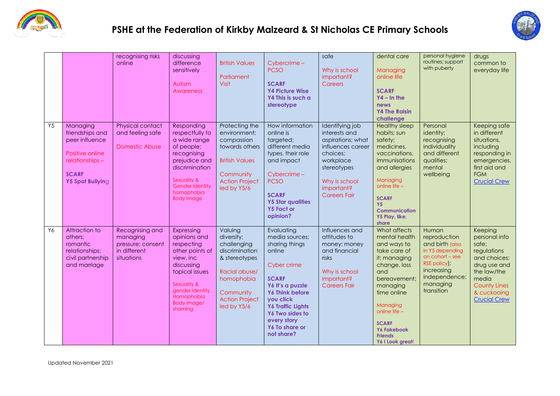



|    |                                                                                                                         | recognising risks<br>online                                                    | discussing<br>difference<br>sensitively<br>Autism<br>Awareness                                                                                                                            | <b>British Values</b><br>Parliament<br>Visit                                                                                                                | Cybercrime -<br><b>PCSO</b><br><b>SCARF</b><br><b>Y4 Picture Wise</b><br>Y4 This is such a<br>stereotype                                                                                                                                         | safe<br>Why is school<br>important?<br>Careers                                                                                                                           | dental care<br>Managing<br>online life<br><b>SCARF</b><br>$YA - In the$<br>news<br><b>Y4 The Raisin</b><br>challenge                                                                                                                                    | personal hygiene<br>routines; support<br>with puberty                                                                                                            | drugs<br>common to<br>everyday life                                                                                                                                   |
|----|-------------------------------------------------------------------------------------------------------------------------|--------------------------------------------------------------------------------|-------------------------------------------------------------------------------------------------------------------------------------------------------------------------------------------|-------------------------------------------------------------------------------------------------------------------------------------------------------------|--------------------------------------------------------------------------------------------------------------------------------------------------------------------------------------------------------------------------------------------------|--------------------------------------------------------------------------------------------------------------------------------------------------------------------------|---------------------------------------------------------------------------------------------------------------------------------------------------------------------------------------------------------------------------------------------------------|------------------------------------------------------------------------------------------------------------------------------------------------------------------|-----------------------------------------------------------------------------------------------------------------------------------------------------------------------|
| Y5 | Managing<br>friendships and<br>peer influence<br>Positive online<br>relationships -<br><b>SCARF</b><br>Y5 Spot Bullying | Physical contact<br>and feeling safe<br><b>Domestic Abuse</b>                  | Responding<br>respectfully to<br>a wide range<br>of people;<br>recognising<br>prejudice and<br>discrimination<br>Sexuality &<br>Gender Identity,<br>homophobia<br><b>Body image</b>       | Protecting the<br>environment;<br>compassion<br>towards others<br><b>British Values</b><br>Community<br><b>Action Project</b><br>led by Y5/6                | How information<br>online is<br>targeted;<br>different media<br>types, their role<br>and impact<br>Cybercrime -<br><b>PCSO</b><br><b>SCARF</b><br><b>Y5 Star qualities</b><br><b>Y5 Fact or</b><br>opinion?                                      | Identifying job<br>interests and<br>aspirations; what<br>influences career<br>choices;<br>workplace<br>stereotypes<br>Why is school<br>important?<br><b>Careers Fair</b> | <b>Healthy sleep</b><br>habits; sun<br>safety;<br>medicines,<br>vaccinations,<br>immunisations<br>and allergies<br>Managing<br>online life -<br><b>SCARF</b><br><b>Y5</b><br><b>Communication</b><br>Y5 Play, like,<br>share                            | Personal<br>identity;<br>recognising<br>individuality<br>and different<br>qualities;<br>mental<br>wellbeing                                                      | Keeping safe<br>in different<br>situations,<br>including<br>responding in<br>emergencies,<br>first aid and<br><b>FGM</b><br><b>Crucial Crew</b>                       |
| Y6 | Attraction to<br>others:<br>romantic<br>relationships;<br>civil partnership<br>and marriage                             | Recognising and<br>managing<br>pressure; consent<br>in different<br>situations | Expressing<br>opinions and<br>respecting<br>other points of<br>view, inc<br>discussing<br>topical issues<br>Sexuality &<br>gender identity<br>Homophobia<br><b>Body image/</b><br>shaming | Valuing<br>diversity;<br>challenging<br>discrimination<br>& stereotypes<br>Racial abuse/<br>homophobia<br>Community<br><b>Action Project</b><br>led by Y5/6 | Evaluating<br>media sources;<br>sharing things<br>online<br>Cyber crime<br><b>SCARF</b><br>Y6 It's a puzzle<br><b>Y6 Think before</b><br>you click<br><b>Y6 Traffic Lights</b><br>Y6 Two sides to<br>every story<br>Y6 To share or<br>not share? | Influences and<br>attitudes to<br>money; money<br>and financial<br>risks<br>Why is school<br>important?<br><b>Careers Fair</b>                                           | What affects<br>mental health<br>and ways to<br>take care of<br>it; managing<br>change, loss<br>and<br>bereavement:<br>managing<br>time online<br>Managing<br>online life -<br><b>SCARF</b><br><b>Y6 Fakebook</b><br><b>Friends</b><br>Y6 I Look great! | Human<br>reproduction<br>and birth (also<br>in Y5 depending<br>on $\text{cohort}$ – see<br>RSE policy);<br>increasing<br>independence;<br>managing<br>transition | Keeping<br>personal info<br>safe;<br>regulations<br>and choices;<br>drug use and<br>the law/the<br>media<br><b>County Lines</b><br>& cuckooing<br><b>Crucial Crew</b> |